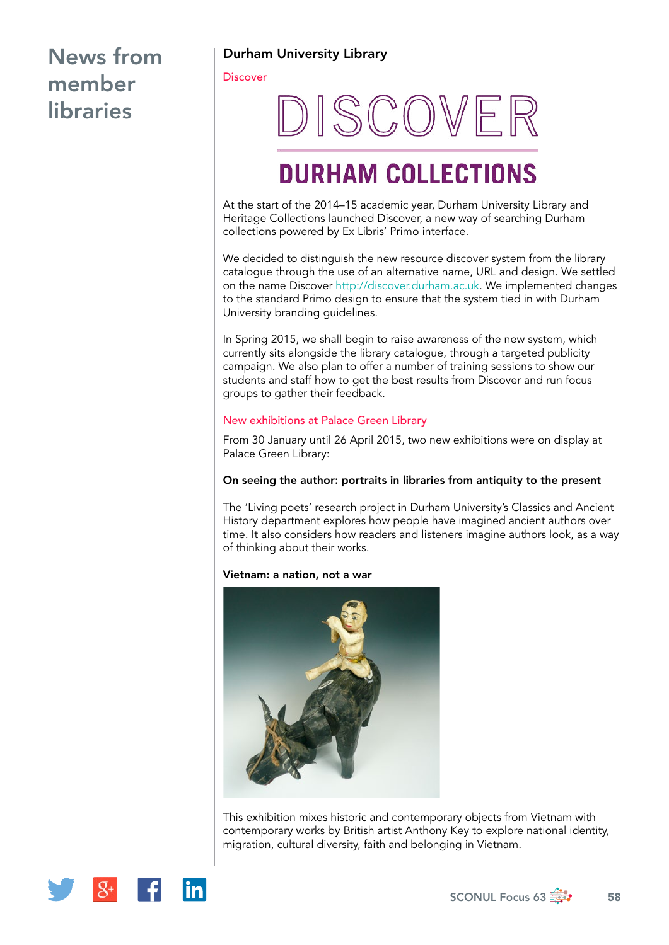Durham University Library

**Discover** 

# **DISCOVER**

## **DURHAM COLLECTIONS**

At the start of the 2014–15 academic year, Durham University Library and Heritage Collections launched Discover, a new way of searching Durham collections powered by Ex Libris' Primo interface.

We decided to distinguish the new resource discover system from the library catalogue through the use of an alternative name, URL and design. We settled on the name Discover [http://discover.durham.ac.uk.](http://discover.durham.ac.uk) We implemented changes to the standard Primo design to ensure that the system tied in with Durham University branding guidelines.

In Spring 2015, we shall begin to raise awareness of the new system, which currently sits alongside the library catalogue, through a targeted publicity campaign. We also plan to offer a number of training sessions to show our students and staff how to get the best results from Discover and run focus groups to gather their feedback.

### New exhibitions at Palace Green Library

From 30 January until 26 April 2015, two new exhibitions were on display at Palace Green Library:

### On seeing the author: portraits in libraries from antiquity to the present

The 'Living poets' research project in Durham University's Classics and Ancient History department explores how people have imagined ancient authors over time. It also considers how readers and listeners imagine authors look, as a way of thinking about their works.

### Vietnam: a nation, not a war



This exhibition mixes historic and contemporary objects from Vietnam with contemporary works by British artist Anthony Key to explore national identity, migration, cultural diversity, faith and belonging in Vietnam.

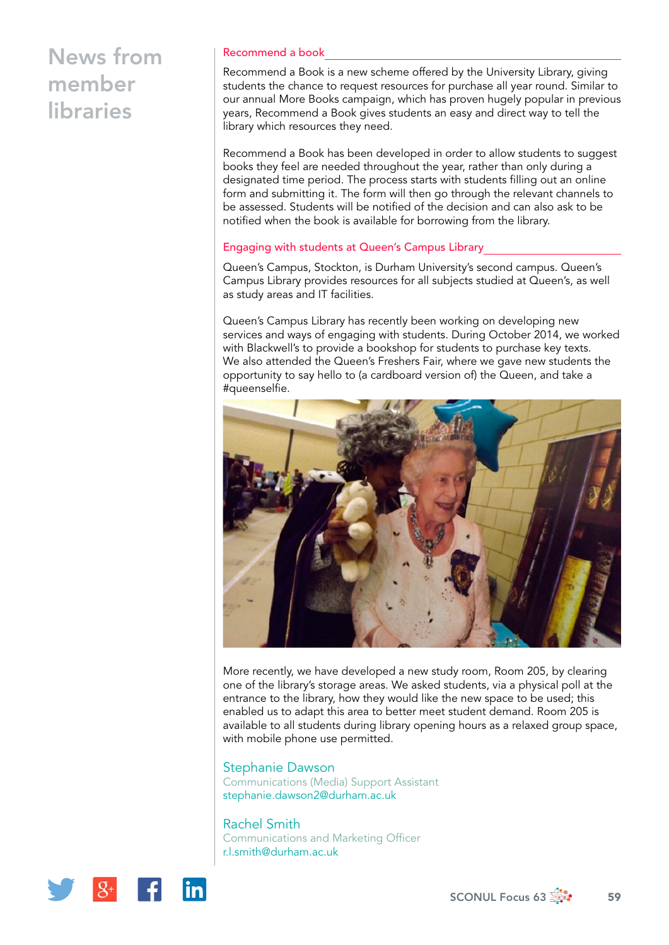### Recommend a book

Recommend a Book is a new scheme offered by the University Library, giving students the chance to request resources for purchase all year round. Similar to our annual More Books campaign, which has proven hugely popular in previous years, Recommend a Book gives students an easy and direct way to tell the library which resources they need.

Recommend a Book has been developed in order to allow students to suggest books they feel are needed throughout the year, rather than only during a designated time period. The process starts with students filling out an online form and submitting it. The form will then go through the relevant channels to be assessed. Students will be notified of the decision and can also ask to be notified when the book is available for borrowing from the library.

### Engaging with students at Queen's Campus Library

Queen's Campus, Stockton, is Durham University's second campus. Queen's Campus Library provides resources for all subjects studied at Queen's, as well as study areas and IT facilities.

Queen's Campus Library has recently been working on developing new services and ways of engaging with students. During October 2014, we worked with Blackwell's to provide a bookshop for students to purchase key texts. We also attended the Queen's Freshers Fair, where we gave new students the opportunity to say hello to (a cardboard version of) the Queen, and take a #queenselfie.



More recently, we have developed a new study room, Room 205, by clearing one of the library's storage areas. We asked students, via a physical poll at the entrance to the library, how they would like the new space to be used; this enabled us to adapt this area to better meet student demand. Room 205 is available to all students during library opening hours as a relaxed group space, with mobile phone use permitted.

### Stephanie Dawson

Communications (Media) Support Assistant [stephanie.dawson2@durham.ac.uk](mailto:stephanie.dawson2@durham.ac.uk)

Rachel Smith Communications and Marketing Officer [r.l.smith@durham.ac.uk](mailto:r.l.smith@durham.ac.uk)

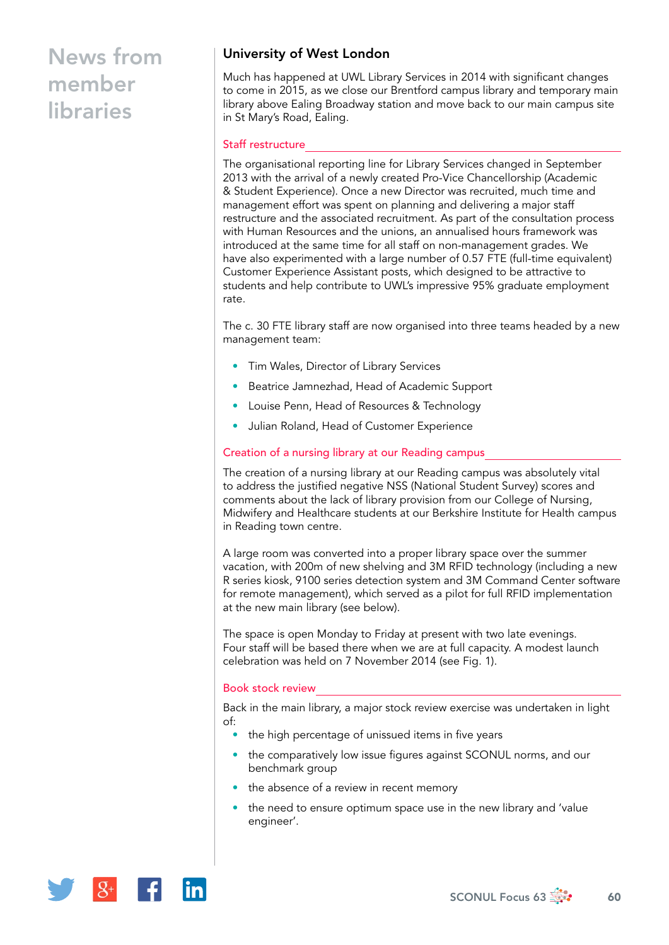### University of West London

Much has happened at UWL Library Services in 2014 with significant changes to come in 2015, as we close our Brentford campus library and temporary main library above Ealing Broadway station and move back to our main campus site in St Mary's Road, Ealing.

### Staff restructure

The organisational reporting line for Library Services changed in September 2013 with the arrival of a newly created Pro-Vice Chancellorship (Academic & Student Experience). Once a new Director was recruited, much time and management effort was spent on planning and delivering a major staff restructure and the associated recruitment. As part of the consultation process with Human Resources and the unions, an annualised hours framework was introduced at the same time for all staff on non-management grades. We have also experimented with a large number of 0.57 FTE (full-time equivalent) Customer Experience Assistant posts, which designed to be attractive to students and help contribute to UWL's impressive 95% graduate employment rate.

The c. 30 FTE library staff are now organised into three teams headed by a new management team:

- Tim Wales, Director of Library Services
- Beatrice Jamnezhad, Head of Academic Support
- Louise Penn, Head of Resources & Technology
- Julian Roland, Head of Customer Experience

#### Creation of a nursing library at our Reading campus

The creation of a nursing library at our Reading campus was absolutely vital to address the justified negative NSS (National Student Survey) scores and comments about the lack of library provision from our College of Nursing, Midwifery and Healthcare students at our Berkshire Institute for Health campus in Reading town centre.

A large room was converted into a proper library space over the summer vacation, with 200m of new shelving and 3M RFID technology (including a new R series kiosk, 9100 series detection system and 3M Command Center software for remote management), which served as a pilot for full RFID implementation at the new main library (see below).

The space is open Monday to Friday at present with two late evenings. Four staff will be based there when we are at full capacity. A modest launch celebration was held on 7 November 2014 (see Fig. 1).

#### Book stock review

Back in the main library, a major stock review exercise was undertaken in light of:

- the high percentage of unissued items in five years
- the comparatively low issue figures against SCONUL norms, and our benchmark group
- the absence of a review in recent memory
- the need to ensure optimum space use in the new library and 'value engineer'.

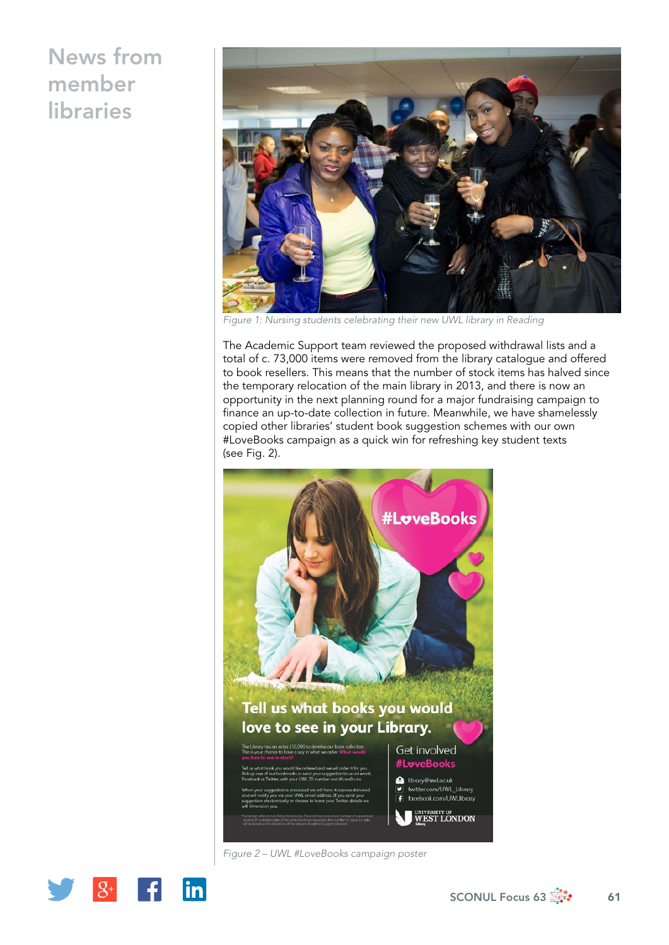

*Figure 1: Nursing students celebrating their new UWL library in Reading*

The Academic Support team reviewed the proposed withdrawal lists and a total of c. 73,000 items were removed from the library catalogue and offered to book resellers. This means that the number of stock items has halved since the temporary relocation of the main library in 2013, and there is now an opportunity in the next planning round for a major fundraising campaign to finance an up-to-date collection in future. Meanwhile, we have shamelessly copied other libraries' student book suggestion schemes with our own #LoveBooks campaign as a quick win for refreshing key student texts (see Fig. 2).



*Figure 2 – UWL #LoveBooks campaign poster*

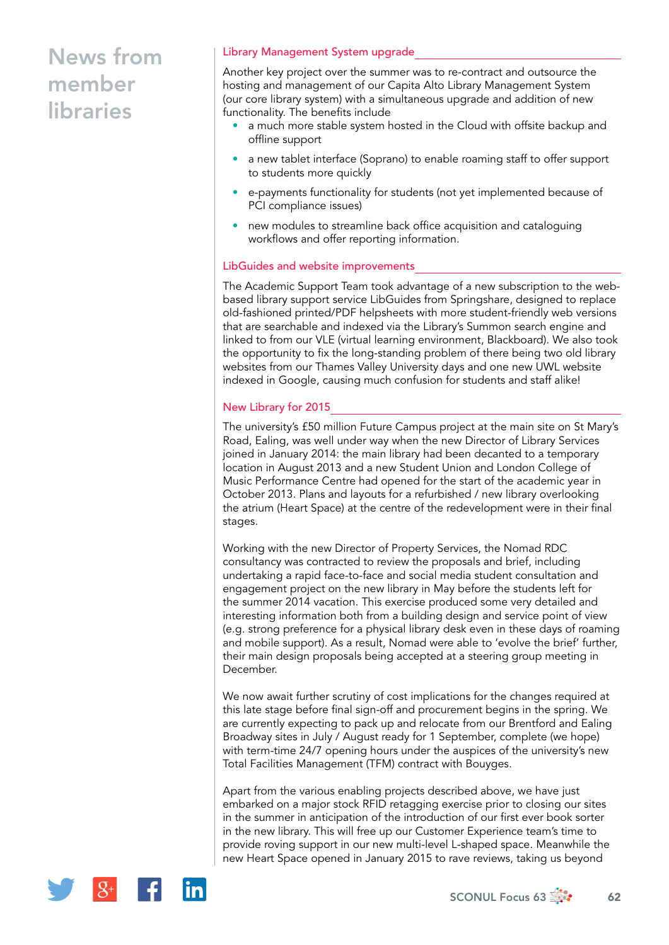### Library Management System upgrade

Another key project over the summer was to re-contract and outsource the hosting and management of our Capita Alto Library Management System (our core library system) with a simultaneous upgrade and addition of new functionality. The benefits include

- a much more stable system hosted in the Cloud with offsite backup and offline support
- a new tablet interface (Soprano) to enable roaming staff to offer support to students more quickly
- e-payments functionality for students (not yet implemented because of PCI compliance issues)
- new modules to streamline back office acquisition and cataloguing workflows and offer reporting information.

### LibGuides and website improvements

The Academic Support Team took advantage of a new subscription to the webbased library support service LibGuides from Springshare, designed to replace old-fashioned printed/PDF helpsheets with more student-friendly web versions that are searchable and indexed via the Library's Summon search engine and linked to from our VLE (virtual learning environment, Blackboard). We also took the opportunity to fix the long-standing problem of there being two old library websites from our Thames Valley University days and one new UWL website indexed in Google, causing much confusion for students and staff alike!

### New Library for 2015

The university's £50 million Future Campus project at the main site on St Mary's Road, Ealing, was well under way when the new Director of Library Services joined in January 2014: the main library had been decanted to a temporary location in August 2013 and a new Student Union and London College of Music Performance Centre had opened for the start of the academic year in October 2013. Plans and layouts for a refurbished / new library overlooking the atrium (Heart Space) at the centre of the redevelopment were in their final stages.

Working with the new Director of Property Services, the Nomad RDC consultancy was contracted to review the proposals and brief, including undertaking a rapid face-to-face and social media student consultation and engagement project on the new library in May before the students left for the summer 2014 vacation. This exercise produced some very detailed and interesting information both from a building design and service point of view (e.g. strong preference for a physical library desk even in these days of roaming and mobile support). As a result, Nomad were able to 'evolve the brief' further, their main design proposals being accepted at a steering group meeting in December.

We now await further scrutiny of cost implications for the changes required at this late stage before final sign-off and procurement begins in the spring. We are currently expecting to pack up and relocate from our Brentford and Ealing Broadway sites in July / August ready for 1 September, complete (we hope) with term-time 24/7 opening hours under the auspices of the university's new Total Facilities Management (TFM) contract with Bouyges.

Apart from the various enabling projects described above, we have just embarked on a major stock RFID retagging exercise prior to closing our sites in the summer in anticipation of the introduction of our first ever book sorter in the new library. This will free up our Customer Experience team's time to provide roving support in our new multi-level L-shaped space. Meanwhile the new Heart Space opened in January 2015 to rave reviews, taking us beyond

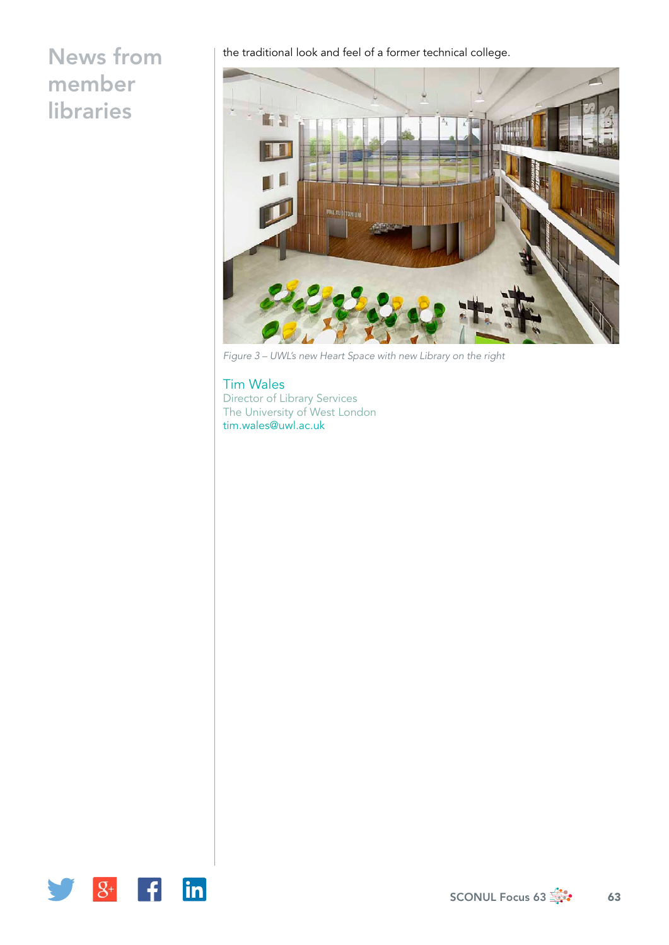the traditional look and feel of a former technical college.



*Figure 3 – UWL's new Heart Space with new Library on the right*

Tim Wales Director of Library Services The University of West London [tim.wales@uwl.ac.uk](mailto:tim.wales@uwl.ac.uk)